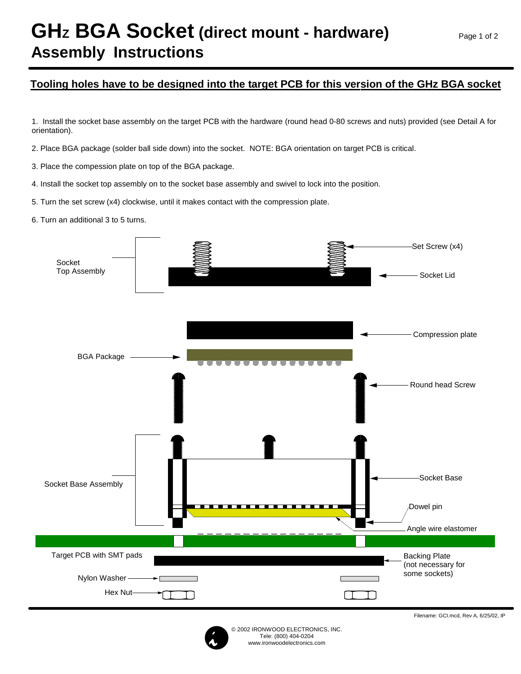## **GHz BGA Socket (direct mount - hardware) Assembly Instructions**

## **Tooling holes have to be designed into the target PCB for this version of the GHz BGA socket**

1. Install the socket base assembly on the target PCB with the hardware (round head 0-80 screws and nuts) provided (see Detail A for orientation).

2. Place BGA package (solder ball side down) into the socket. NOTE: BGA orientation on target PCB is critical.

3. Place the compession plate on top of the BGA package.

4. Install the socket top assembly on to the socket base assembly and swivel to lock into the position.

5. Turn the set screw (x4) clockwise, until it makes contact with the compression plate.

6. Turn an additional 3 to 5 turns.





Filename: GCI.mcd, Rev A, 6/25/02, IP